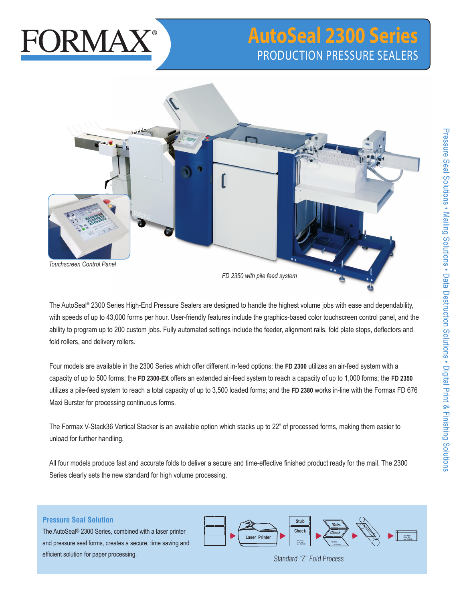# **FORMAX**

# **AutoSeal 2300 Series** PRODUCTION PRESSURE SEALERS



The AutoSeal® 2300 Series High-End Pressure Sealers are designed to handle the highest volume jobs with ease and dependability, with speeds of up to 43,000 forms per hour. User-friendly features include the graphics-based color touchscreen control panel, and the ability to program up to 200 custom jobs. Fully automated settings include the feeder, alignment rails, fold plate stops, deflectors and fold rollers, and delivery rollers.

Four models are available in the 2300 Series which offer different in-feed options: the **FD 2300** utilizes an air-feed system with a capacity of up to 500 forms; the **FD 2300-EX** offers an extended air-feed system to reach a capacity of up to 1,000 forms; the **FD 2350** utilizes a pile-feed system to reach a total capacity of up to 3,500 loaded forms; and the **FD 2380** works in-line with the Formax FD 676 Maxi Burster for processing continuous forms.

The Formax V-Stack36 Vertical Stacker is an available option which stacks up to 22" of processed forms, making them easier to unload for further handling.

All four models produce fast and accurate folds to deliver a secure and time-effective finished product ready for the mail. The 2300 Series clearly sets the new standard for high volume processing.

# **Pressure Seal Solution**

The AutoSeal® 2300 Series, combined with a laser printer and pressure seal forms, creates a secure, time saving and efficient solution for paper processing.



Standard "Z" Fold Process